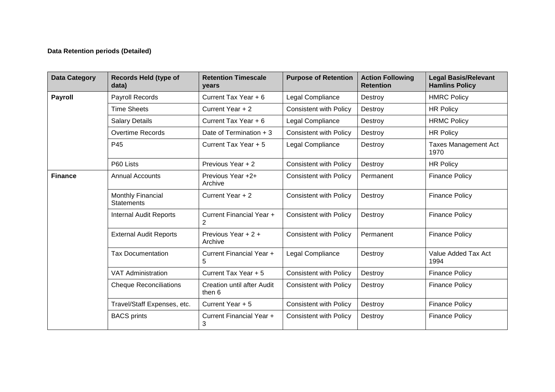## **Data Retention periods (Detailed)**

| <b>Data Category</b> | <b>Records Held (type of</b><br>data)         | <b>Retention Timescale</b><br>years         | <b>Purpose of Retention</b>   | <b>Action Following</b><br><b>Retention</b> | <b>Legal Basis/Relevant</b><br><b>Hamlins Policy</b> |
|----------------------|-----------------------------------------------|---------------------------------------------|-------------------------------|---------------------------------------------|------------------------------------------------------|
| <b>Payroll</b>       | <b>Payroll Records</b>                        | Current Tax Year + 6                        | Legal Compliance              | Destroy                                     | <b>HMRC Policy</b>                                   |
|                      | <b>Time Sheets</b>                            | Current Year + 2                            | <b>Consistent with Policy</b> | Destroy                                     | <b>HR Policy</b>                                     |
|                      | <b>Salary Details</b>                         | Current Tax Year + 6                        | Legal Compliance              | Destroy                                     | <b>HRMC Policy</b>                                   |
|                      | <b>Overtime Records</b>                       | Date of Termination + 3                     | <b>Consistent with Policy</b> | Destroy                                     | <b>HR Policy</b>                                     |
|                      | P45                                           | Current Tax Year + 5                        | Legal Compliance              | Destroy                                     | <b>Taxes Management Act</b><br>1970                  |
|                      | P60 Lists                                     | Previous Year + 2                           | <b>Consistent with Policy</b> | Destroy                                     | <b>HR Policy</b>                                     |
| <b>Finance</b>       | <b>Annual Accounts</b>                        | Previous Year +2+<br>Archive                | <b>Consistent with Policy</b> | Permanent                                   | <b>Finance Policy</b>                                |
|                      | <b>Monthly Financial</b><br><b>Statements</b> | Current Year + 2                            | <b>Consistent with Policy</b> | Destroy                                     | <b>Finance Policy</b>                                |
|                      | <b>Internal Audit Reports</b>                 | Current Financial Year +<br>2               | <b>Consistent with Policy</b> | Destroy                                     | <b>Finance Policy</b>                                |
|                      | <b>External Audit Reports</b>                 | Previous Year + 2 +<br>Archive              | <b>Consistent with Policy</b> | Permanent                                   | <b>Finance Policy</b>                                |
|                      | <b>Tax Documentation</b>                      | Current Financial Year +<br>5               | Legal Compliance              | Destroy                                     | Value Added Tax Act<br>1994                          |
|                      | <b>VAT Administration</b>                     | Current Tax Year + 5                        | <b>Consistent with Policy</b> | Destroy                                     | <b>Finance Policy</b>                                |
|                      | <b>Cheque Reconciliations</b>                 | <b>Creation until after Audit</b><br>then 6 | <b>Consistent with Policy</b> | Destroy                                     | <b>Finance Policy</b>                                |
|                      | Travel/Staff Expenses, etc.                   | Current Year + 5                            | <b>Consistent with Policy</b> | Destroy                                     | <b>Finance Policy</b>                                |
|                      | <b>BACS</b> prints                            | Current Financial Year +<br>3               | <b>Consistent with Policy</b> | Destroy                                     | <b>Finance Policy</b>                                |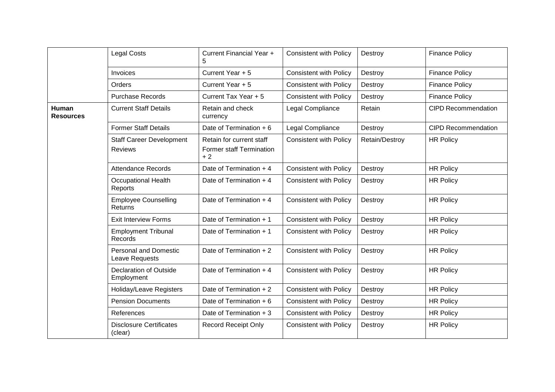|                                  | <b>Legal Costs</b>                                | Current Financial Year +<br>5                                | <b>Consistent with Policy</b> | Destroy        | <b>Finance Policy</b>      |
|----------------------------------|---------------------------------------------------|--------------------------------------------------------------|-------------------------------|----------------|----------------------------|
|                                  | Invoices                                          | Current Year + 5                                             | <b>Consistent with Policy</b> | Destroy        | <b>Finance Policy</b>      |
|                                  | Orders                                            | Current Year + 5                                             | <b>Consistent with Policy</b> | Destroy        | <b>Finance Policy</b>      |
|                                  | <b>Purchase Records</b>                           | Current Tax Year + 5                                         | <b>Consistent with Policy</b> | Destroy        | <b>Finance Policy</b>      |
| <b>Human</b><br><b>Resources</b> | <b>Current Staff Details</b>                      | Retain and check<br>currency                                 | Legal Compliance              | Retain         | <b>CIPD Recommendation</b> |
|                                  | <b>Former Staff Details</b>                       | Date of Termination + 6                                      | Legal Compliance              | Destroy        | <b>CIPD Recommendation</b> |
|                                  | <b>Staff Career Development</b><br><b>Reviews</b> | Retain for current staff<br>Former staff Termination<br>$+2$ | <b>Consistent with Policy</b> | Retain/Destroy | <b>HR Policy</b>           |
|                                  | <b>Attendance Records</b>                         | Date of Termination + 4                                      | <b>Consistent with Policy</b> | Destroy        | <b>HR Policy</b>           |
|                                  | <b>Occupational Health</b><br>Reports             | Date of Termination $+4$                                     | <b>Consistent with Policy</b> | Destroy        | <b>HR Policy</b>           |
|                                  | <b>Employee Counselling</b><br>Returns            | Date of Termination $+4$                                     | <b>Consistent with Policy</b> | Destroy        | <b>HR Policy</b>           |
|                                  | <b>Exit Interview Forms</b>                       | Date of Termination $+1$                                     | <b>Consistent with Policy</b> | Destroy        | <b>HR Policy</b>           |
|                                  | <b>Employment Tribunal</b><br>Records             | Date of Termination + 1                                      | <b>Consistent with Policy</b> | Destroy        | <b>HR Policy</b>           |
|                                  | <b>Personal and Domestic</b><br>Leave Requests    | Date of Termination + 2                                      | <b>Consistent with Policy</b> | Destroy        | <b>HR Policy</b>           |
|                                  | <b>Declaration of Outside</b><br>Employment       | Date of Termination + 4                                      | <b>Consistent with Policy</b> | Destroy        | <b>HR Policy</b>           |
|                                  | <b>Holiday/Leave Registers</b>                    | Date of Termination + 2                                      | <b>Consistent with Policy</b> | Destroy        | <b>HR Policy</b>           |
|                                  | <b>Pension Documents</b>                          | Date of Termination + 6                                      | <b>Consistent with Policy</b> | Destroy        | <b>HR Policy</b>           |
|                                  | References                                        | Date of Termination + 3                                      | <b>Consistent with Policy</b> | Destroy        | <b>HR Policy</b>           |
|                                  | <b>Disclosure Certificates</b><br>(clear)         | <b>Record Receipt Only</b>                                   | <b>Consistent with Policy</b> | Destroy        | <b>HR Policy</b>           |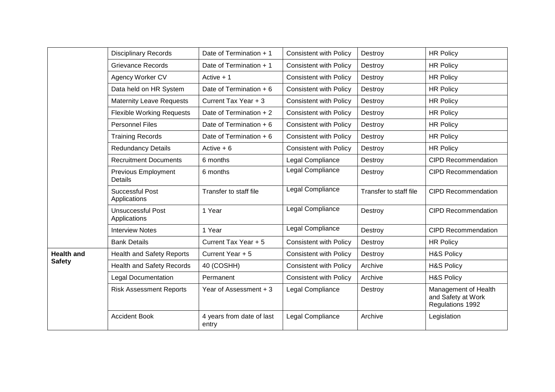|                                    | <b>Disciplinary Records</b>              | Date of Termination + 1            | <b>Consistent with Policy</b> | Destroy                | <b>HR Policy</b>                                               |
|------------------------------------|------------------------------------------|------------------------------------|-------------------------------|------------------------|----------------------------------------------------------------|
|                                    | <b>Grievance Records</b>                 | Date of Termination + 1            | <b>Consistent with Policy</b> | Destroy                | <b>HR Policy</b>                                               |
|                                    | Agency Worker CV                         | Active $+1$                        | <b>Consistent with Policy</b> | Destroy                | <b>HR Policy</b>                                               |
|                                    | Data held on HR System                   | Date of Termination + 6            | <b>Consistent with Policy</b> | Destroy                | <b>HR Policy</b>                                               |
|                                    | <b>Maternity Leave Requests</b>          | Current Tax Year + 3               | <b>Consistent with Policy</b> | Destroy                | <b>HR Policy</b>                                               |
|                                    | <b>Flexible Working Requests</b>         | Date of Termination + 2            | <b>Consistent with Policy</b> | Destroy                | <b>HR Policy</b>                                               |
|                                    | <b>Personnel Files</b>                   | Date of Termination + 6            | <b>Consistent with Policy</b> | Destroy                | <b>HR Policy</b>                                               |
|                                    | <b>Training Records</b>                  | Date of Termination + 6            | <b>Consistent with Policy</b> | Destroy                | <b>HR Policy</b>                                               |
|                                    | <b>Redundancy Details</b>                | Active $+6$                        | <b>Consistent with Policy</b> | Destroy                | <b>HR Policy</b>                                               |
|                                    | <b>Recruitment Documents</b>             | 6 months                           | Legal Compliance              | Destroy                | <b>CIPD Recommendation</b>                                     |
|                                    | Previous Employment<br><b>Details</b>    | 6 months                           | Legal Compliance              | Destroy                | <b>CIPD Recommendation</b>                                     |
|                                    | <b>Successful Post</b><br>Applications   | Transfer to staff file             | Legal Compliance              | Transfer to staff file | <b>CIPD Recommendation</b>                                     |
|                                    | <b>Unsuccessful Post</b><br>Applications | 1 Year                             | Legal Compliance              | Destroy                | <b>CIPD Recommendation</b>                                     |
|                                    | <b>Interview Notes</b>                   | 1 Year                             | Legal Compliance              | Destroy                | <b>CIPD Recommendation</b>                                     |
|                                    | <b>Bank Details</b>                      | Current Tax Year + 5               | <b>Consistent with Policy</b> | Destroy                | <b>HR Policy</b>                                               |
| <b>Health and</b><br><b>Safety</b> | <b>Health and Safety Reports</b>         | Current Year + 5                   | <b>Consistent with Policy</b> | Destroy                | <b>H&amp;S Policy</b>                                          |
|                                    | <b>Health and Safety Records</b>         | 40 (COSHH)                         | <b>Consistent with Policy</b> | Archive                | <b>H&amp;S Policy</b>                                          |
|                                    | <b>Legal Documentation</b>               | Permanent                          | <b>Consistent with Policy</b> | Archive                | <b>H&amp;S Policy</b>                                          |
|                                    | <b>Risk Assessment Reports</b>           | Year of Assessment + 3             | Legal Compliance              | Destroy                | Management of Health<br>and Safety at Work<br>Regulations 1992 |
|                                    | <b>Accident Book</b>                     | 4 years from date of last<br>entry | Legal Compliance              | Archive                | Legislation                                                    |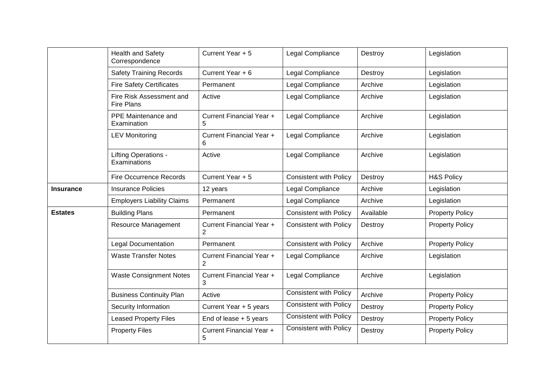|                  | <b>Health and Safety</b><br>Correspondence    | Current Year + 5                           | Legal Compliance              | Destroy   | Legislation            |
|------------------|-----------------------------------------------|--------------------------------------------|-------------------------------|-----------|------------------------|
|                  | <b>Safety Training Records</b>                | Current Year + 6                           | Legal Compliance              | Destroy   | Legislation            |
|                  | <b>Fire Safety Certificates</b>               | Permanent                                  | Legal Compliance              | Archive   | Legislation            |
|                  | Fire Risk Assessment and<br><b>Fire Plans</b> | Active                                     | Legal Compliance              | Archive   | Legislation            |
|                  | PPE Maintenance and<br>Examination            | Current Financial Year +<br>5              | Legal Compliance              | Archive   | Legislation            |
|                  | <b>LEV Monitoring</b>                         | Current Financial Year +<br>6              | Legal Compliance              | Archive   | Legislation            |
|                  | Lifting Operations -<br>Examinations          | Active                                     | Legal Compliance              | Archive   | Legislation            |
|                  | <b>Fire Occurrence Records</b>                | Current Year + 5                           | <b>Consistent with Policy</b> | Destroy   | <b>H&amp;S Policy</b>  |
| <b>Insurance</b> | <b>Insurance Policies</b>                     | 12 years                                   | Legal Compliance              | Archive   | Legislation            |
|                  | <b>Employers Liability Claims</b>             | Permanent                                  | Legal Compliance              | Archive   | Legislation            |
| <b>Estates</b>   | <b>Building Plans</b>                         | Permanent                                  | <b>Consistent with Policy</b> | Available | <b>Property Policy</b> |
|                  | <b>Resource Management</b>                    | Current Financial Year +<br>$\overline{2}$ | <b>Consistent with Policy</b> | Destroy   | <b>Property Policy</b> |
|                  | <b>Legal Documentation</b>                    | Permanent                                  | <b>Consistent with Policy</b> | Archive   | <b>Property Policy</b> |
|                  | <b>Waste Transfer Notes</b>                   | Current Financial Year +<br>$\overline{2}$ | Legal Compliance              | Archive   | Legislation            |
|                  | <b>Waste Consignment Notes</b>                | Current Financial Year +<br>3              | Legal Compliance              | Archive   | Legislation            |
|                  | <b>Business Continuity Plan</b>               | Active                                     | <b>Consistent with Policy</b> | Archive   | <b>Property Policy</b> |
|                  | Security Information                          | Current Year + 5 years                     | <b>Consistent with Policy</b> | Destroy   | <b>Property Policy</b> |
|                  | <b>Leased Property Files</b>                  | End of lease $+5$ years                    | <b>Consistent with Policy</b> | Destroy   | <b>Property Policy</b> |
|                  | <b>Property Files</b>                         | Current Financial Year +<br>5              | <b>Consistent with Policy</b> | Destroy   | <b>Property Policy</b> |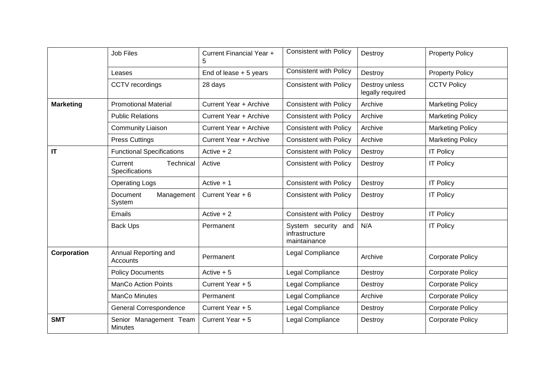|                  | <b>Job Files</b>                         | Current Financial Year +<br>5 | <b>Consistent with Policy</b>                         | Destroy                            | <b>Property Policy</b>  |
|------------------|------------------------------------------|-------------------------------|-------------------------------------------------------|------------------------------------|-------------------------|
|                  | Leases                                   | End of lease $+5$ years       | <b>Consistent with Policy</b>                         | Destroy                            | <b>Property Policy</b>  |
|                  | CCTV recordings                          | 28 days                       | <b>Consistent with Policy</b>                         | Destroy unless<br>legally required | <b>CCTV Policy</b>      |
| <b>Marketing</b> | <b>Promotional Material</b>              | Current Year + Archive        | <b>Consistent with Policy</b>                         | Archive                            | <b>Marketing Policy</b> |
|                  | <b>Public Relations</b>                  | Current Year + Archive        | <b>Consistent with Policy</b>                         | Archive                            | <b>Marketing Policy</b> |
|                  | <b>Community Liaison</b>                 | Current Year + Archive        | <b>Consistent with Policy</b>                         | Archive                            | <b>Marketing Policy</b> |
|                  | <b>Press Cuttings</b>                    | Current Year + Archive        | <b>Consistent with Policy</b>                         | Archive                            | <b>Marketing Policy</b> |
| IT               | <b>Functional Specifications</b>         | Active $+2$                   | <b>Consistent with Policy</b>                         | Destroy                            | <b>IT Policy</b>        |
|                  | Technical<br>Current<br>Specifications   | Active                        | <b>Consistent with Policy</b>                         | Destroy                            | <b>IT Policy</b>        |
|                  | <b>Operating Logs</b>                    | Active $+1$                   | <b>Consistent with Policy</b>                         | Destroy                            | <b>IT Policy</b>        |
|                  | Document<br>Management<br>System         | Current Year + 6              | <b>Consistent with Policy</b>                         | Destroy                            | <b>IT Policy</b>        |
|                  | Emails                                   | Active $+2$                   | <b>Consistent with Policy</b>                         | Destroy                            | <b>IT Policy</b>        |
|                  | <b>Back Ups</b>                          | Permanent                     | System security and<br>infrastructure<br>maintainance | N/A                                | <b>IT Policy</b>        |
| Corporation      | Annual Reporting and<br>Accounts         | Permanent                     | Legal Compliance                                      | Archive                            | <b>Corporate Policy</b> |
|                  | <b>Policy Documents</b>                  | Active $+5$                   | Legal Compliance                                      | Destroy                            | <b>Corporate Policy</b> |
|                  | <b>ManCo Action Points</b>               | Current Year + 5              | Legal Compliance                                      | Destroy                            | <b>Corporate Policy</b> |
|                  | ManCo Minutes                            | Permanent                     | Legal Compliance                                      | Archive                            | <b>Corporate Policy</b> |
|                  | General Correspondence                   | Current Year + 5              | Legal Compliance                                      | Destroy                            | Corporate Policy        |
| <b>SMT</b>       | Senior Management Team<br><b>Minutes</b> | Current Year + 5              | Legal Compliance                                      | Destroy                            | <b>Corporate Policy</b> |